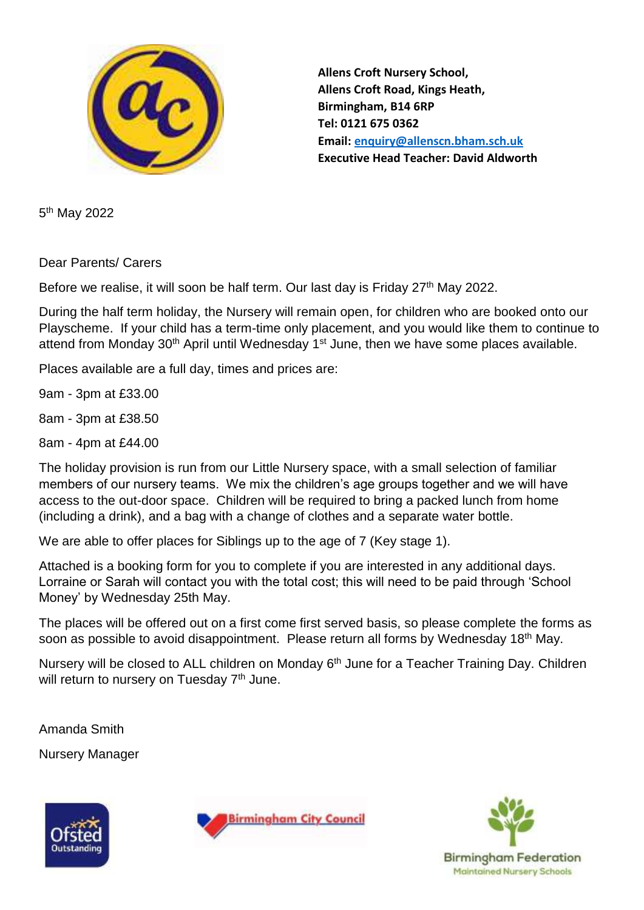

**Allens Croft Nursery School, Allens Croft Road, Kings Heath, Birmingham, B14 6RP Tel: 0121 675 0362 Email: [enquiry@allenscn.bham.sch.uk](mailto:enquiry@allenscn.bham.sch.uk) Executive Head Teacher: David Aldworth**

5<sup>th</sup> May 2022

Dear Parents/ Carers

Before we realise, it will soon be half term. Our last day is Friday 27<sup>th</sup> May 2022.

During the half term holiday, the Nursery will remain open, for children who are booked onto our Playscheme. If your child has a term-time only placement, and you would like them to continue to attend from Monday 30<sup>th</sup> April until Wednesday 1<sup>st</sup> June, then we have some places available.

Places available are a full day, times and prices are:

9am - 3pm at £33.00

8am - 3pm at £38.50

8am - 4pm at £44.00

The holiday provision is run from our Little Nursery space, with a small selection of familiar members of our nursery teams. We mix the children's age groups together and we will have access to the out-door space. Children will be required to bring a packed lunch from home (including a drink), and a bag with a change of clothes and a separate water bottle.

We are able to offer places for Siblings up to the age of 7 (Key stage 1).

Attached is a booking form for you to complete if you are interested in any additional days. Lorraine or Sarah will contact you with the total cost; this will need to be paid through 'School Money' by Wednesday 25th May.

The places will be offered out on a first come first served basis, so please complete the forms as soon as possible to avoid disappointment. Please return all forms by Wednesday 18<sup>th</sup> May.

Nursery will be closed to ALL children on Monday 6<sup>th</sup> June for a Teacher Training Day. Children will return to nursery on Tuesday 7<sup>th</sup> June.

Amanda Smith

Nursery Manager